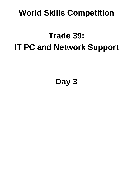## **World Skills Competition**

## **Trade 39: IT PC and Network Support**

**Day 3**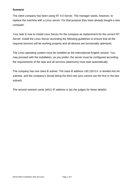## **Scenario**

The client company has been using NT 4.0 Server. The manager wants, however, to replace the machine with a Linux server. For that purpose they have already bought a new computer.

Your task is now to install Linux Server for the company as replacement for the current NT Server. Install the Linux Server according the following guidelines to ensure that all the required services will be working properly and all devices are functionally optimised.

The Linux operating system must be installed as the international English version. You may proceed with the installation, as you prefer, the server must be configured according the requirements of the task and all services (daemons) must start automatically.

The company has one class B subnet. The class B address 140.150.0.0. is divided into 64 subnets, and the company's (local) being the third one (you cannot use the first or the last subnet)

The second network cards (eth1) IP address is (as the judges for these details)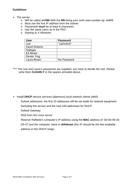## **Guidelines**

- $\triangleright$  The server:
	- o Will be called skill**NN** With the **NN** being your work area number eg: skill08
	- o Must use the first IP address from the subnet.
	- o Passwords **must** be at least 8 characters
	- o Has the same users as in the PDC:
	- o Starting to X Windows

| <b>User</b>      | <b>Password</b> |
|------------------|-----------------|
| root             | "1q2w3e4r"      |
| David Roberts    |                 |
| Raffaele         |                 |
| <b>Ed Minter</b> |                 |
| Dexter Ying      |                 |
| Laura Brown      | No Password     |

\*\*\*\* The root and Laura's passwords are supplied; you have to decide the rest. Please write them **CLEARLY** in the spaces provided above.

- ¾ Install **DHCP** service services (daemons) local network clients (eth0)
	- Subnet addresses: the first 10 addresses will be set aside for network equipment (including the server) and the next 100 addresses for DHCP.
	- Default Gateway
	- DNS from the Linux server
	- Reserve Raffaele's computer's IP address using the **MAC** address of: 00-D0-59-25- DA-57 and the computer name is **nhfnbrast** (this IP should be the last available address in this DHCP range.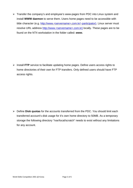¾ Transfer the company's and employee's www-pages from PDC into Linux system and install **WWW daemon** to serve them. Users home pages need to be accessible with tilde character (e.g. http://www.<servername>.com.kr/~participator). Linux server must resolve URL address http://www.<servername>.com.kr) locally. These pages are to be found on the NT4 workstation in the folder called: *www***.** 

¾ Install **FTP** service to facilitate updating home pages. Define users access rights to home directories of their own for FTP transfers. Only defined users should have FTP access rights.

¾ Define **Disk quotas** for the accounts transferred from the PDC. You should limit each transferred account's disk usage for it's own home directory to 50MB. As a temporary storage the following directory "/var/local/scratch" needs to exist without any limitations for any account.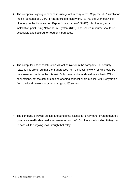$\triangleright$  The company is going to expand it's usage of Linux-systems. Copy the RH7 installation media (contents of CD #2 RPMS packets directory only) to into the "/var/local/RH7" directory on the Linux server. Export (share name of: "RH7") this directory as an installation point using Network File System (**NFS**). The shared resource should be accessible and secured for read only purposes.

¾ The computer under construction will act as **router** in the company. For security reasons it is preferred that client addresses from the local network (eth0) should be masqueraded out from the Internet. Only router address should be visible in WAN connections, not the actual machine opening connection from local LAN. Deny traffic from the local network to other smtp (port 25) servers.

 $\triangleright$  The company's firewall denies outbound smtp-access for every other system than the company's **mail-relay** "mail.<servername>.com.kr". Configure the installed RH-system to pass all its outgoing mail through that relay.